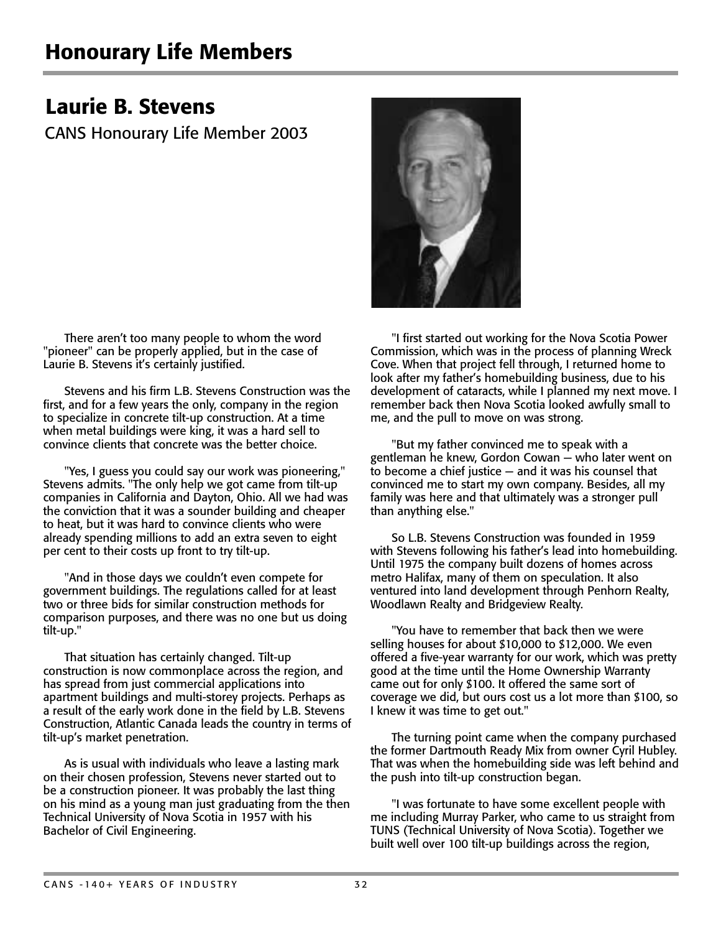## Laurie B. Stevens

CANS Honourary Life Member 2003

There aren't too many people to whom the word "pioneer" can be properly applied, but in the case of Laurie B. Stevens it's certainly justified.

Stevens and his firm L.B. Stevens Construction was the first, and for a few years the only, company in the region to specialize in concrete tilt-up construction. At a time when metal buildings were king, it was a hard sell to convince clients that concrete was the better choice.

"Yes, I guess you could say our work was pioneering," Stevens admits. "The only help we got came from tilt-up companies in California and Dayton, Ohio. All we had was the conviction that it was a sounder building and cheaper to heat, but it was hard to convince clients who were already spending millions to add an extra seven to eight per cent to their costs up front to try tilt-up.

"And in those days we couldn't even compete for government buildings. The regulations called for at least two or three bids for similar construction methods for comparison purposes, and there was no one but us doing tilt-up."

That situation has certainly changed. Tilt-up construction is now commonplace across the region, and has spread from just commercial applications into apartment buildings and multi-storey projects. Perhaps as a result of the early work done in the field by L.B. Stevens Construction, Atlantic Canada leads the country in terms of tilt-up's market penetration.

As is usual with individuals who leave a lasting mark on their chosen profession, Stevens never started out to be a construction pioneer. It was probably the last thing on his mind as a young man just graduating from the then Technical University of Nova Scotia in 1957 with his Bachelor of Civil Engineering.



"I first started out working for the Nova Scotia Power Commission, which was in the process of planning Wreck Cove. When that project fell through, I returned home to look after my father's homebuilding business, due to his development of cataracts, while I planned my next move. I remember back then Nova Scotia looked awfully small to me, and the pull to move on was strong.

"But my father convinced me to speak with a gentleman he knew, Gordon Cowan — who later went on to become a chief justice — and it was his counsel that convinced me to start my own company. Besides, all my family was here and that ultimately was a stronger pull than anything else."

So L.B. Stevens Construction was founded in 1959 with Stevens following his father's lead into homebuilding. Until 1975 the company built dozens of homes across metro Halifax, many of them on speculation. It also ventured into land development through Penhorn Realty, Woodlawn Realty and Bridgeview Realty.

"You have to remember that back then we were selling houses for about \$10,000 to \$12,000. We even offered a five-year warranty for our work, which was pretty good at the time until the Home Ownership Warranty came out for only \$100. It offered the same sort of coverage we did, but ours cost us a lot more than \$100, so I knew it was time to get out."

The turning point came when the company purchased the former Dartmouth Ready Mix from owner Cyril Hubley. That was when the homebuilding side was left behind and the push into tilt-up construction began.

"I was fortunate to have some excellent people with me including Murray Parker, who came to us straight from TUNS (Technical University of Nova Scotia). Together we built well over 100 tilt-up buildings across the region,